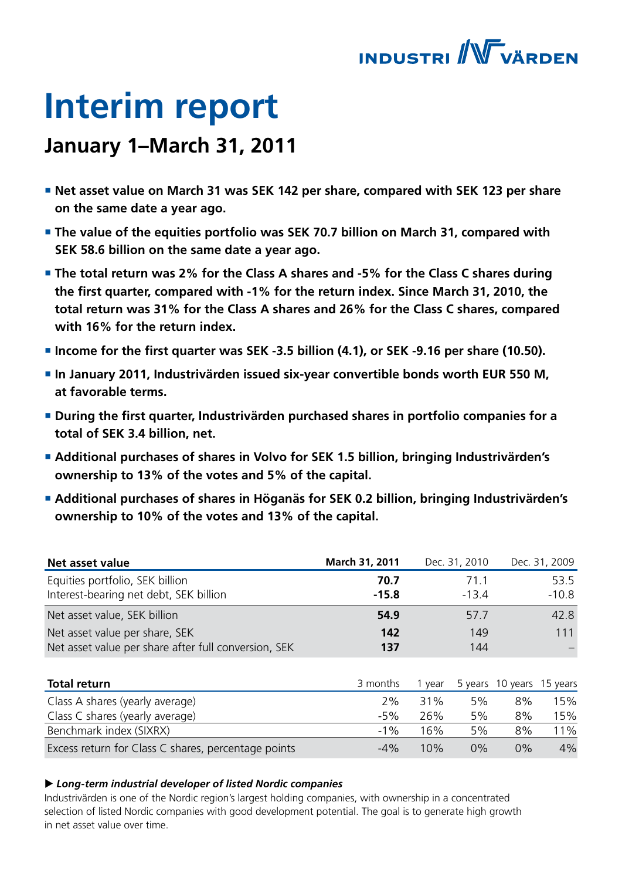

# **Interim report**

# **January 1–March 31, 2011**

- Net asset value on March 31 was SEK 142 per share, compared with SEK 123 per share **on the same date a year ago.**
- **The value of the equities portfolio was SEK 70.7 billion on March 31, compared with SEK 58.6 billion on the same date a year ago.**
- **The total return was 2% for the Class A shares and -5% for the Class C shares during the first quarter, compared with -1% for the return index. Since March 31, 2010, the total return was 31% for the Class A shares and 26% for the Class C shares, compared with 16% for the return index.**
- **Income for the first quarter was SEK -3.5 billion (4.1), or SEK -9.16 per share (10.50).**
- In January 2011, Industrivärden issued six-year convertible bonds worth EUR 550 M, **at favorable terms.**
- **During the first quarter, Industrivärden purchased shares in portfolio companies for a total of SEK 3.4 billion, net.**
- **Additional purchases of shares in Volvo for SEK 1.5 billion, bringing Industrivärden's ownership to 13% of the votes and 5% of the capital.**
- **Additional purchases of shares in Höganäs for SEK 0.2 billion, bringing Industrivärden's ownership to 10% of the votes and 13% of the capital.**

| Net asset value                                      | March 31, 2011 |        | Dec. 31, 2010 |                           | Dec. 31, 2009 |
|------------------------------------------------------|----------------|--------|---------------|---------------------------|---------------|
| Equities portfolio, SEK billion                      | 70.7           |        | 71.1          |                           | 53.5          |
| Interest-bearing net debt, SEK billion               | $-15.8$        |        | $-13.4$       |                           | $-10.8$       |
| Net asset value, SEK billion                         | 54.9           |        | 57.7          |                           | 42.8          |
| Net asset value per share, SEK                       | 142            |        | 149           |                           | 111           |
| Net asset value per share after full conversion, SEK | 137            |        | 144           |                           |               |
|                                                      |                |        |               |                           |               |
| <b>Total return</b>                                  | 3 months       | 1 year |               | 5 years 10 years 15 years |               |
| Class A shares (yearly average)                      | 2%             | 31%    | 5%            | 8%                        | 15%           |
| Class C shares (yearly average)                      | $-5%$          | 26%    | 5%            | 8%                        | 15%           |
| Benchmark index (SIXRX)                              | $-1\%$         | 16%    | 5%            | 8%                        | 11%           |
| Excess return for Class C shares, percentage points  | $-4%$          | 10%    | $0\%$         | $0\%$                     | 4%            |

### ▶ Long-term industrial developer of listed Nordic companies

Industrivärden is one of the Nordic region's largest holding companies, with ownership in a concentrated selection of listed Nordic companies with good development potential. The goal is to generate high growth in net asset value over time.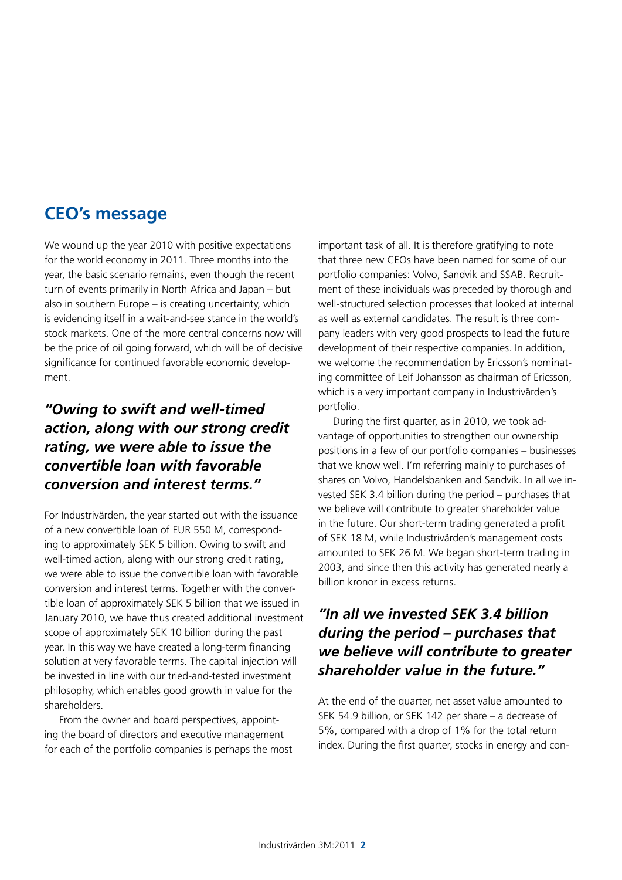## **CEO's message**

We wound up the year 2010 with positive expectations for the world economy in 2011. Three months into the year, the basic scenario remains, even though the recent turn of events primarily in North Africa and Japan – but also in southern Europe – is creating uncertainty, which is evidencing itself in a wait-and-see stance in the world's stock markets. One of the more central concerns now will be the price of oil going forward, which will be of decisive significance for continued favorable economic development.

### *"Owing to swift and well-timed action, along with our strong credit rating, we were able to issue the convertible loan with favorable conversion and interest terms."*

For Industrivärden, the year started out with the issuance of a new convertible loan of EUR 550 M, corresponding to approximately SEK 5 billion. Owing to swift and well-timed action, along with our strong credit rating, we were able to issue the convertible loan with favorable conversion and interest terms. Together with the convertible loan of approximately SEK 5 billion that we issued in January 2010, we have thus created additional investment scope of approximately SEK 10 billion during the past year. In this way we have created a long-term financing solution at very favorable terms. The capital injection will be invested in line with our tried-and-tested investment philosophy, which enables good growth in value for the shareholders.

From the owner and board perspectives, appointing the board of directors and executive management for each of the portfolio companies is perhaps the most important task of all. It is therefore gratifying to note that three new CEOs have been named for some of our portfolio companies: Volvo, Sandvik and SSAB. Recruitment of these individuals was preceded by thorough and well-structured selection processes that looked at internal as well as external candidates. The result is three company leaders with very good prospects to lead the future development of their respective companies. In addition, we welcome the recommendation by Ericsson's nominating committee of Leif Johansson as chairman of Ericsson, which is a very important company in Industrivärden's portfolio.

During the first quarter, as in 2010, we took advantage of opportunities to strengthen our ownership positions in a few of our portfolio companies – businesses that we know well. I'm referring mainly to purchases of shares on Volvo, Handelsbanken and Sandvik. In all we invested SEK 3.4 billion during the period – purchases that we believe will contribute to greater shareholder value in the future. Our short-term trading generated a profit of SEK 18 M, while Industrivärden's management costs amounted to SEK 26 M. We began short-term trading in 2003, and since then this activity has generated nearly a billion kronor in excess returns.

### *"In all we invested SEK 3.4 billion during the period – purchases that we believe will contribute to greater shareholder value in the future."*

At the end of the quarter, net asset value amounted to SEK 54.9 billion, or SEK 142 per share – a decrease of 5%, compared with a drop of 1% for the total return index. During the first quarter, stocks in energy and con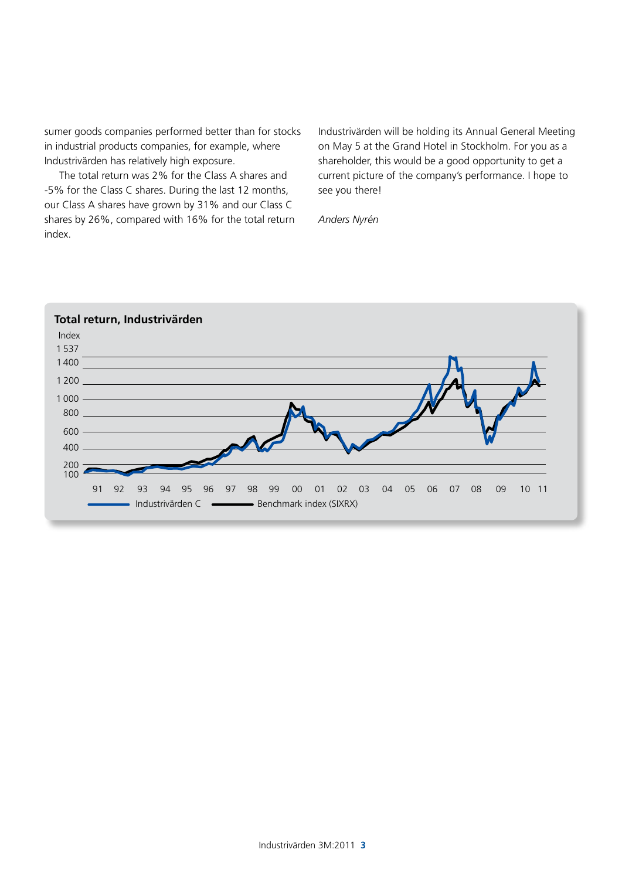sumer goods companies performed better than for stocks in industrial products companies, for example, where Industrivärden has relatively high exposure.

The total return was 2% for the Class A shares and -5% for the Class C shares. During the last 12 months, our Class A shares have grown by 31% and our Class C shares by 26%, compared with 16% for the total return index.

Industrivärden will be holding its Annual General Meeting on May 5 at the Grand Hotel in Stockholm. For you as a shareholder, this would be a good opportunity to get a current picture of the company's performance. I hope to see you there!

*Anders Nyrén* 

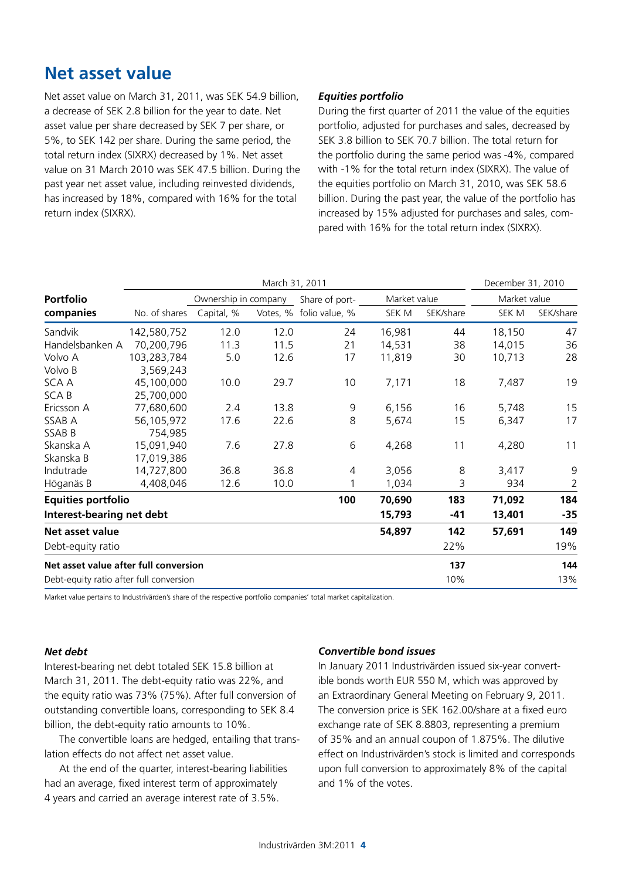# **Net asset value**

Net asset value on March 31, 2011, was SEK 54.9 billion, a decrease of SEK 2.8 billion for the year to date. Net asset value per share decreased by SEK 7 per share, or 5%, to SEK 142 per share. During the same period, the total return index (SIXRX) decreased by 1%. Net asset value on 31 March 2010 was SEK 47.5 billion. During the past year net asset value, including reinvested dividends, has increased by 18%, compared with 16% for the total return index (SIXRX).

### *Equities portfolio*

During the first quarter of 2011 the value of the equities portfolio, adjusted for purchases and sales, decreased by SEK 3.8 billion to SEK 70.7 billion. The total return for the portfolio during the same period was -4%, compared with -1% for the total return index (SIXRX). The value of the equities portfolio on March 31, 2010, was SEK 58.6 billion. During the past year, the value of the portfolio has increased by 15% adjusted for purchases and sales, compared with 16% for the total return index (SIXRX).

|                                         |               | March 31, 2011       |          |                |              | December 31, 2010 |              |                |
|-----------------------------------------|---------------|----------------------|----------|----------------|--------------|-------------------|--------------|----------------|
| <b>Portfolio</b>                        |               | Ownership in company |          | Share of port- | Market value |                   | Market value |                |
| companies                               | No. of shares | Capital, %           | Votes, % | folio value, % | SEK M        | SEK/share         | SEK M        | SEK/share      |
| Sandvik                                 | 142,580,752   | 12.0                 | 12.0     | 24             | 16,981       | 44                | 18,150       | 47             |
| Handelsbanken A                         | 70,200,796    | 11.3                 | 11.5     | 21             | 14,531       | 38                | 14,015       | 36             |
| Volvo A                                 | 103,283,784   | 5.0                  | 12.6     | 17             | 11,819       | 30                | 10,713       | 28             |
| Volvo B                                 | 3,569,243     |                      |          |                |              |                   |              |                |
| SCA A                                   | 45,100,000    | 10.0                 | 29.7     | 10             | 7,171        | 18                | 7,487        | 19             |
| <b>SCAB</b>                             | 25,700,000    |                      |          |                |              |                   |              |                |
| Ericsson A                              | 77,680,600    | 2.4                  | 13.8     | 9              | 6,156        | 16                | 5,748        | 15             |
| SSAB A                                  | 56,105,972    | 17.6                 | 22.6     | 8              | 5,674        | 15                | 6,347        | 17             |
| SSAB B                                  | 754,985       |                      |          |                |              |                   |              |                |
| Skanska A                               | 15,091,940    | 7.6                  | 27.8     | 6              | 4,268        | 11                | 4,280        | 11             |
| Skanska B                               | 17,019,386    |                      |          |                |              |                   |              |                |
| Indutrade                               | 14,727,800    | 36.8                 | 36.8     | $\overline{4}$ | 3,056        | 8                 | 3,417        | 9              |
| Höganäs B                               | 4,408,046     | 12.6                 | 10.0     |                | 1,034        | 3                 | 934          | $\overline{2}$ |
| <b>Equities portfolio</b>               |               |                      |          | 100            | 70,690       | 183               | 71,092       | 184            |
| Interest-bearing net debt               |               |                      |          |                | 15,793       | $-41$             | 13,401       | $-35$          |
| Net asset value                         |               |                      |          |                | 54,897       | 142               | 57,691       | 149            |
| Debt-equity ratio                       |               |                      |          |                |              | 22%               |              | 19%            |
| Net asset value after full conversion   |               |                      |          |                |              | 137               |              | 144            |
| Debt-equity ratio after full conversion |               |                      |          |                |              | 10%               |              | 13%            |

Market value pertains to Industrivärden's share of the respective portfolio companies' total market capitalization.

#### *Net debt*

Interest-bearing net debt totaled SEK 15.8 billion at March 31, 2011. The debt-equity ratio was 22%, and the equity ratio was 73% (75%). After full conversion of outstanding convertible loans, corresponding to SEK 8.4 billion, the debt-equity ratio amounts to 10%.

The convertible loans are hedged, entailing that translation effects do not affect net asset value.

At the end of the quarter, interest-bearing liabilities had an average, fixed interest term of approximately 4 years and carried an average interest rate of 3.5%.

### *Convertible bond issues*

In January 2011 Industrivärden issued six-year convertible bonds worth EUR 550 M, which was approved by an Extraordinary General Meeting on February 9, 2011. The conversion price is SEK 162.00/share at a fixed euro exchange rate of SEK 8.8803, representing a premium of 35% and an annual coupon of 1.875%. The dilutive effect on Industrivärden's stock is limited and corresponds upon full conversion to approximately 8% of the capital and 1% of the votes.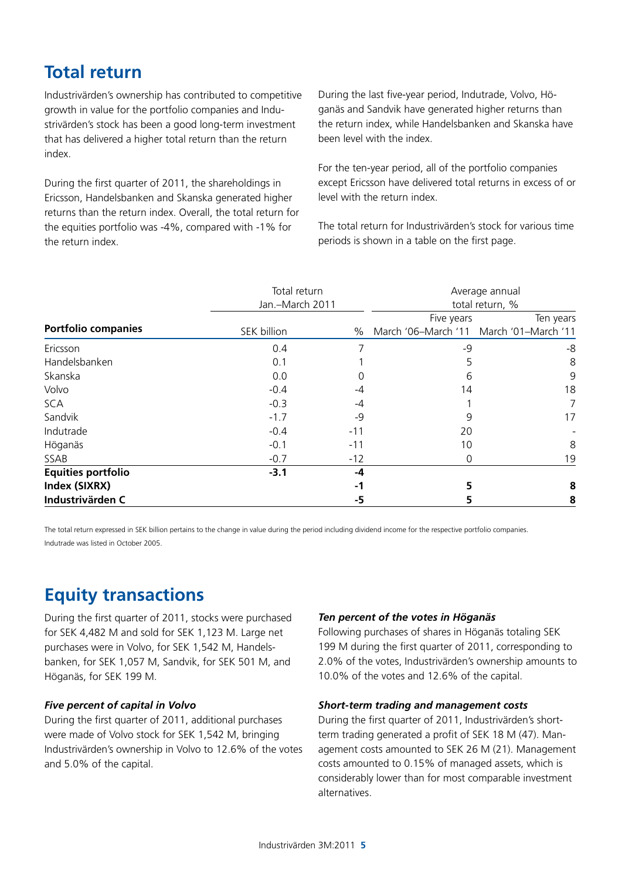# **Total return**

Industrivärden's ownership has contributed to competitive growth in value for the portfolio companies and Industrivärden's stock has been a good long-term investment that has delivered a higher total return than the return index.

During the first quarter of 2011, the shareholdings in Ericsson, Handelsbanken and Skanska generated higher returns than the return index. Overall, the total return for the equities portfolio was -4%, compared with -1% for the return index.

During the last five-year period, Indutrade, Volvo, Höganäs and Sandvik have generated higher returns than the return index, while Handelsbanken and Skanska have been level with the index.

For the ten-year period, all of the portfolio companies except Ericsson have delivered total returns in excess of or level with the return index.

The total return for Industrivärden's stock for various time periods is shown in a table on the first page.

|                            | Total return<br>Jan.-March 2011 |       | Average annual<br>total return, %                     |           |  |
|----------------------------|---------------------------------|-------|-------------------------------------------------------|-----------|--|
| <b>Portfolio companies</b> | SEK billion                     | $\%$  | Five years<br>March '06-March '11 March '01-March '11 | Ten years |  |
| Ericsson                   | 0.4                             | ᄀ     | $-9$                                                  | -8        |  |
| Handelsbanken              | 0.1                             |       | 5                                                     | 8         |  |
| Skanska                    | 0.0                             | 0     | 6                                                     | 9         |  |
| Volvo                      | $-0.4$                          | -4    | 14                                                    | 18        |  |
| <b>SCA</b>                 | $-0.3$                          | $-4$  |                                                       | 7         |  |
| Sandvik                    | $-1.7$                          | -9    | 9                                                     | 17        |  |
| Indutrade                  | $-0.4$                          | $-11$ | 20                                                    |           |  |
| Höganäs                    | $-0.1$                          | $-11$ | 10                                                    | 8         |  |
| SSAB                       | $-0.7$                          | $-12$ | 0                                                     | 19        |  |
| <b>Equities portfolio</b>  | $-3.1$                          | -4    |                                                       |           |  |
| Index (SIXRX)              |                                 | -1    |                                                       | 8         |  |
| Industrivärden C           |                                 | -5    |                                                       | 8         |  |

The total return expressed in SEK billion pertains to the change in value during the period including dividend income for the respective portfolio companies. Indutrade was listed in October 2005.

# **Equity transactions**

During the first quarter of 2011, stocks were purchased for SEK 4,482 M and sold for SEK 1,123 M. Large net purchases were in Volvo, for SEK 1,542 M, Handelsbanken, for SEK 1,057 M, Sandvik, for SEK 501 M, and Höganäs, for SEK 199 M.

### *Five percent of capital in Volvo*

During the first quarter of 2011, additional purchases were made of Volvo stock for SEK 1,542 M, bringing Industrivärden's ownership in Volvo to 12.6% of the votes and 5.0% of the capital.

### *Ten percent of the votes in Höganäs*

Following purchases of shares in Höganäs totaling SEK 199 M during the first quarter of 2011, corresponding to 2.0% of the votes, Industrivärden's ownership amounts to 10.0% of the votes and 12.6% of the capital.

#### *Short-term trading and management costs*

During the first quarter of 2011, Industrivärden's shortterm trading generated a profit of SEK 18 M (47). Management costs amounted to SEK 26 M (21). Management costs amounted to 0.15% of managed assets, which is considerably lower than for most comparable investment alternatives.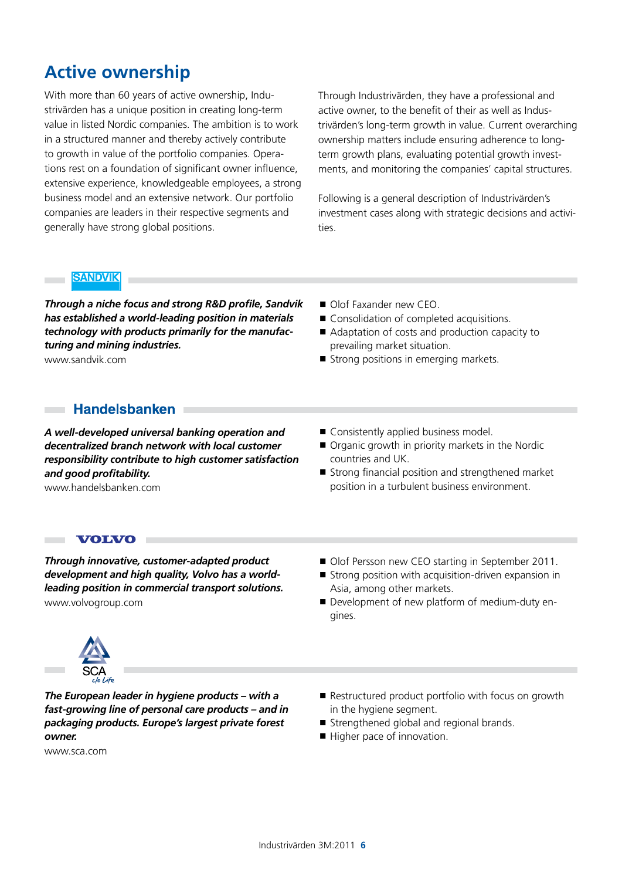# **Active ownership**

With more than 60 years of active ownership, Industrivärden has a unique position in creating long-term value in listed Nordic companies. The ambition is to work in a structured manner and thereby actively contribute to growth in value of the portfolio companies. Operations rest on a foundation of significant owner influence, extensive experience, knowledgeable employees, a strong business model and an extensive network. Our portfolio companies are leaders in their respective segments and generally have strong global positions.

Through Industrivärden, they have a professional and active owner, to the benefit of their as well as Industrivärden's long-term growth in value. Current overarching ownership matters include ensuring adherence to longterm growth plans, evaluating potential growth investments, and monitoring the companies' capital structures.

Following is a general description of Industrivärden's investment cases along with strategic decisions and activities.

### **SANDVIK**

*Through a niche focus and strong R&D profile, Sandvik has established a world-leading position in materials technology with products primarily for the manufacturing and mining industries.*

www.sandvik.com

 $\sim$ m.

- Olof Faxander new CEO.
- Consolidation of completed acquisitions.
- Adaptation of costs and production capacity to prevailing market situation.
- Strong positions in emerging markets.

### **Handelsbanken**

*A well-developed universal banking operation and decentralized branch network with local customer responsibility contribute to high customer satisfaction and good profitability.*

www.handelsbanken.com

- Consistently applied business model.
- Organic growth in priority markets in the Nordic countries and UK.
- Strong financial position and strengthened market position in a turbulent business environment.

### **VOLVO**

*Through innovative, customer-adapted product development and high quality, Volvo has a worldleading position in commercial transport solutions.*  www.volvogroup.com

- Olof Persson new CEO starting in September 2011.
- Strong position with acquisition-driven expansion in Asia, among other markets.
- Development of new platform of medium-duty engines.



*The European leader in hygiene products – with a fast-growing line of personal care products – and in packaging products. Europe's largest private forest owner.*

www.sca.com

- Restructured product portfolio with focus on growth in the hygiene segment.
- Strengthened global and regional brands.
- Higher pace of innovation.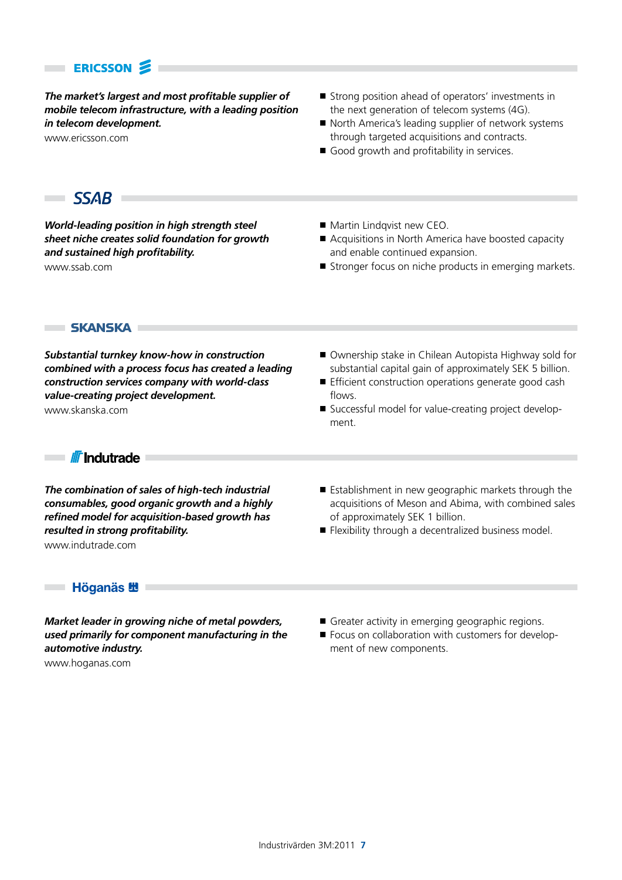### **ERICSSON**

*The market's largest and most profitable supplier of mobile telecom infrastructure, with a leading position in telecom development.* 

www.ericsson.com

- Strong position ahead of operators' investments in the next generation of telecom systems (4G).
- North America's leading supplier of network systems through targeted acquisitions and contracts.
- Good growth and profitability in services.

### SSAB **E**

×

*World-leading position in high strength steel sheet niche creates solid foundation for growth and sustained high profitability.* www.ssab.com

- Martin Lindqvist new CEO.
- Acquisitions in North America have boosted capacity and enable continued expansion.
- Stronger focus on niche products in emerging markets.

**SKANSKA F** 

*Substantial turnkey know-how in construction combined with a process focus has created a leading construction services company with world-class value-creating project development.* www.skanska.com

- Ownership stake in Chilean Autopista Highway sold for substantial capital gain of approximately SEK 5 billion.
- **Efficient construction operations generate good cash** flows.
- Successful model for value-creating project development.

**I** *II*I Indutrade I

п

*The combination of sales of high-tech industrial consumables, good organic growth and a highly refined model for acquisition-based growth has resulted in strong profitability.* www.indutrade.com

- Establishment in new geographic markets through the acquisitions of Meson and Abima, with combined sales of approximately SEK 1 billion.
- Flexibility through a decentralized business model.

### 

*Market leader in growing niche of metal powders, used primarily for component manufacturing in the automotive industry.*

Greater activity in emerging geographic regions.

Focus on collaboration with customers for development of new components.

www.hoganas.com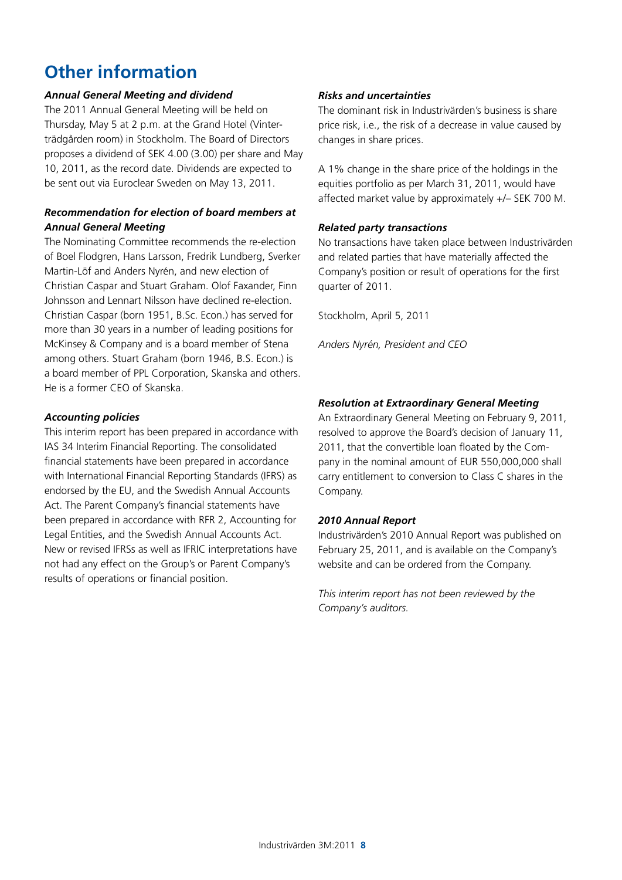# **Other information**

### *Annual General Meeting and dividend*

The 2011 Annual General Meeting will be held on Thursday, May 5 at 2 p.m. at the Grand Hotel (Vinterträdgården room) in Stockholm. The Board of Directors proposes a dividend of SEK 4.00 (3.00) per share and May 10, 2011, as the record date. Dividends are expected to be sent out via Euroclear Sweden on May 13, 2011.

### *Recommendation for election of board members at Annual General Meeting*

The Nominating Committee recommends the re-election of Boel Flodgren, Hans Larsson, Fredrik Lundberg, Sverker Martin-Löf and Anders Nyrén, and new election of Christian Caspar and Stuart Graham. Olof Faxander, Finn Johnsson and Lennart Nilsson have declined re-election. Christian Caspar (born 1951, B.Sc. Econ.) has served for more than 30 years in a number of leading positions for McKinsey & Company and is a board member of Stena among others. Stuart Graham (born 1946, B.S. Econ.) is a board member of PPL Corporation, Skanska and others. He is a former CEO of Skanska.

#### *Accounting policies*

This interim report has been prepared in accordance with IAS 34 Interim Financial Reporting. The consolidated financial statements have been prepared in accordance with International Financial Reporting Standards (IFRS) as endorsed by the EU, and the Swedish Annual Accounts Act. The Parent Company's financial statements have been prepared in accordance with RFR 2, Accounting for Legal Entities, and the Swedish Annual Accounts Act. New or revised IFRSs as well as IFRIC interpretations have not had any effect on the Group's or Parent Company's results of operations or financial position.

### *Risks and uncertainties*

The dominant risk in Industrivärden's business is share price risk, i.e., the risk of a decrease in value caused by changes in share prices.

A 1% change in the share price of the holdings in the equities portfolio as per March 31, 2011, would have affected market value by approximately +/– SEK 700 M.

### *Related party transactions*

No transactions have taken place between Industrivärden and related parties that have materially affected the Company's position or result of operations for the first quarter of 2011.

Stockholm, April 5, 2011

*Anders Nyrén, President and CEO*

### *Resolution at Extraordinary General Meeting*

An Extraordinary General Meeting on February 9, 2011, resolved to approve the Board's decision of January 11, 2011, that the convertible loan floated by the Company in the nominal amount of EUR 550,000,000 shall carry entitlement to conversion to Class C shares in the Company.

### *2010 Annual Report*

Industrivärden's 2010 Annual Report was published on February 25, 2011, and is available on the Company's website and can be ordered from the Company.

*This interim report has not been reviewed by the Company's auditors.*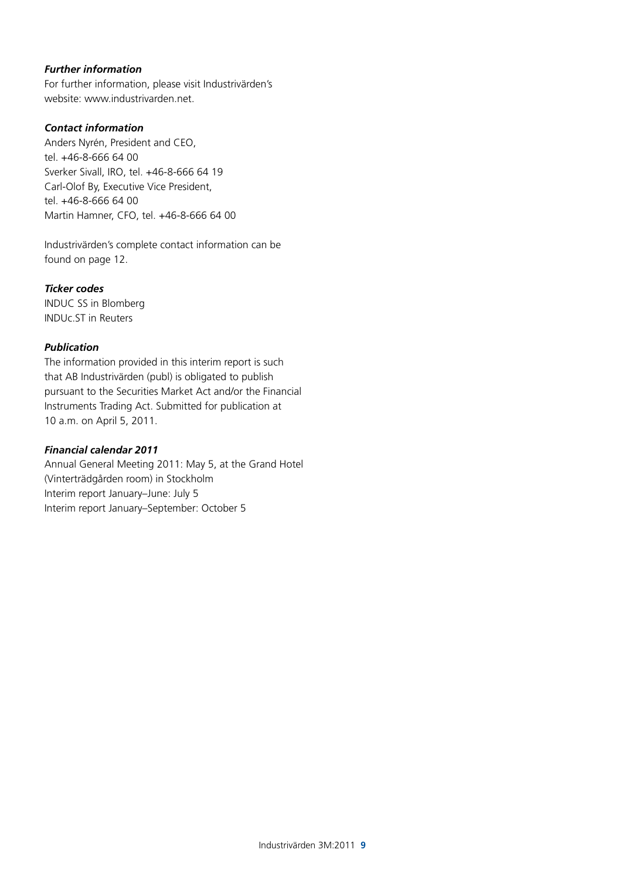### *Further information*

For further information, please visit Industrivärden's website: www.industrivarden.net.

### *Contact information*

Anders Nyrén, President and CEO, tel. +46-8-666 64 00 Sverker Sivall, IRO, tel. +46-8-666 64 19 Carl-Olof By, Executive Vice President, tel. +46-8-666 64 00 Martin Hamner, CFO, tel. +46-8-666 64 00

Industrivärden's complete contact information can be found on page 12.

#### *Ticker codes*

INDUC SS in Blomberg INDUc.ST in Reuters

### *Publication*

The information provided in this interim report is such that AB Industrivärden (publ) is obligated to publish pursuant to the Securities Market Act and/or the Financial Instruments Trading Act. Submitted for publication at 10 a.m. on April 5, 2011.

### *Financial calendar 2011*

Annual General Meeting 2011: May 5, at the Grand Hotel (Vinterträdgården room) in Stockholm Interim report January–June: July 5 Interim report January–September: October 5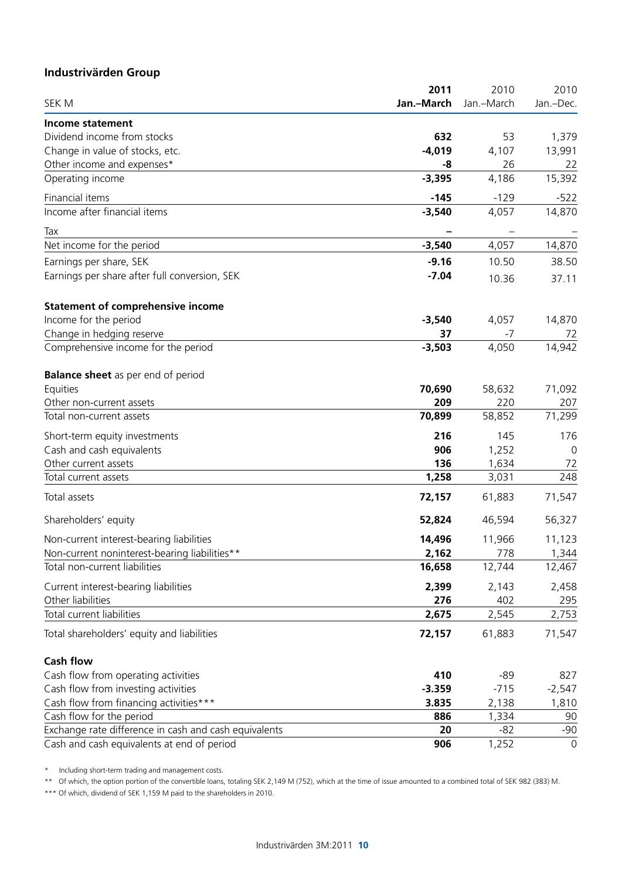### **Industrivärden Group**

|                                                       | 2011       | 2010       | 2010        |
|-------------------------------------------------------|------------|------------|-------------|
| SEK M                                                 | Jan.-March | Jan.-March | Jan.-Dec.   |
| Income statement                                      |            |            |             |
| Dividend income from stocks                           | 632        | 53         | 1,379       |
| Change in value of stocks, etc.                       | $-4,019$   | 4,107      | 13,991      |
| Other income and expenses*                            | -8         | 26         | 22          |
| Operating income                                      | $-3,395$   | 4,186      | 15,392      |
| Financial items                                       | $-145$     | $-129$     | $-522$      |
| Income after financial items                          | $-3,540$   | 4,057      | 14,870      |
| Tax                                                   |            |            |             |
| Net income for the period                             | $-3,540$   | 4,057      | 14,870      |
| Earnings per share, SEK                               | $-9.16$    | 10.50      | 38.50       |
| Earnings per share after full conversion, SEK         | $-7.04$    | 10.36      | 37.11       |
| <b>Statement of comprehensive income</b>              |            |            |             |
| Income for the period                                 | $-3,540$   | 4,057      | 14,870      |
| Change in hedging reserve                             | 37         | $-7$       | 72          |
| Comprehensive income for the period                   | $-3,503$   | 4,050      | 14,942      |
| <b>Balance sheet</b> as per end of period             |            |            |             |
| Equities                                              | 70,690     | 58,632     | 71,092      |
| Other non-current assets                              | 209        | 220        | 207         |
| Total non-current assets                              | 70,899     | 58,852     | 71,299      |
| Short-term equity investments                         | 216        | 145        | 176         |
| Cash and cash equivalents                             | 906        | 1,252      | 0           |
| Other current assets                                  | 136        | 1,634      | 72          |
| Total current assets                                  | 1,258      | 3,031      | 248         |
| Total assets                                          | 72,157     | 61,883     | 71,547      |
| Shareholders' equity                                  | 52,824     | 46,594     | 56,327      |
| Non-current interest-bearing liabilities              | 14,496     | 11,966     | 11,123      |
| Non-current noninterest-bearing liabilities**         | 2,162      | 778        | 1,344       |
| Total non-current liabilities                         | 16,658     | 12,744     | 12,467      |
| Current interest-bearing liabilities                  | 2,399      | 2,143      | 2,458       |
| Other liabilities                                     | 276        | 402        | 295         |
| Total current liabilities                             | 2,675      | 2,545      | 2,753       |
| Total shareholders' equity and liabilities            | 72,157     | 61,883     | 71,547      |
| <b>Cash flow</b>                                      |            |            |             |
| Cash flow from operating activities                   | 410        | $-89$      | 827         |
| Cash flow from investing activities                   | $-3.359$   | $-715$     | $-2,547$    |
| Cash flow from financing activities***                | 3.835      | 2,138      | 1,810       |
| Cash flow for the period                              | 886        | 1,334      | 90          |
| Exchange rate difference in cash and cash equivalents | 20         | $-82$      | $-90$       |
| Cash and cash equivalents at end of period            | 906        | 1,252      | $\mathbf 0$ |

\* Including short-term trading and management costs.

\*\* Of which, the option portion of the convertible loans, totaling SEK 2,149 M (752), which at the time of issue amounted to a combined total of SEK 982 (383) M.

\*\*\* Of which, dividend of SEK 1,159 M paid to the shareholders in 2010.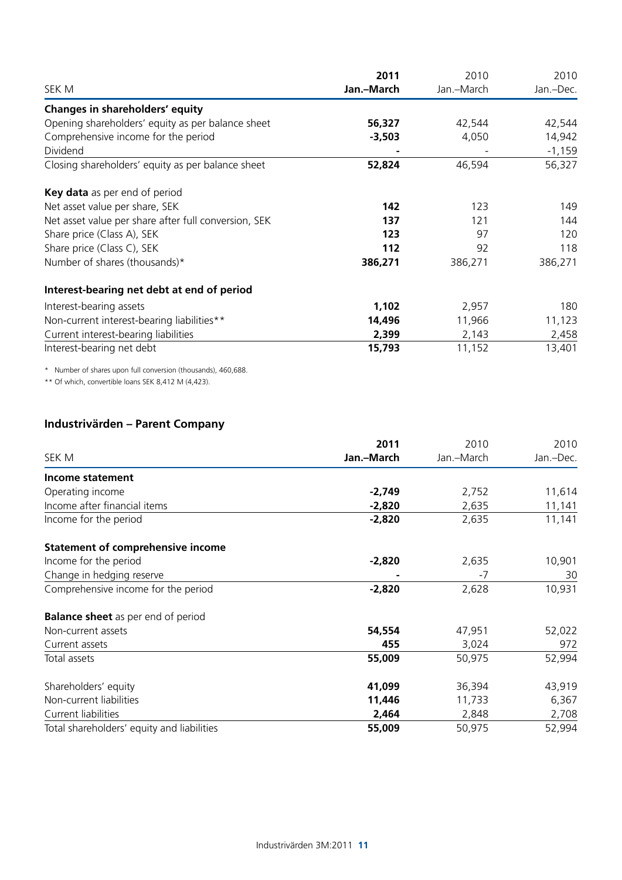|                                                      | 2011       | 2010       | 2010      |  |
|------------------------------------------------------|------------|------------|-----------|--|
| SEK M                                                | Jan.-March | Jan.-March | Jan.-Dec. |  |
| Changes in shareholders' equity                      |            |            |           |  |
| Opening shareholders' equity as per balance sheet    | 56,327     | 42,544     | 42,544    |  |
| Comprehensive income for the period                  | $-3,503$   | 4,050      | 14,942    |  |
| Dividend                                             |            |            | $-1,159$  |  |
| Closing shareholders' equity as per balance sheet    | 52,824     | 46,594     | 56,327    |  |
| Key data as per end of period                        |            |            |           |  |
| Net asset value per share, SEK                       | 142        | 123        | 149       |  |
| Net asset value per share after full conversion, SEK | 137        | 121        | 144       |  |
| Share price (Class A), SEK                           | 123        | 97         | 120       |  |
| Share price (Class C), SEK                           | 112        | 92         | 118       |  |
| Number of shares (thousands)*                        | 386,271    | 386,271    | 386,271   |  |
| Interest-bearing net debt at end of period           |            |            |           |  |
| Interest-bearing assets                              | 1,102      | 2,957      | 180       |  |
| Non-current interest-bearing liabilities**           | 14,496     | 11,966     | 11,123    |  |
| Current interest-bearing liabilities                 | 2,399      | 2,143      | 2,458     |  |
| Interest-bearing net debt                            | 15,793     | 11,152     | 13,401    |  |

\* Number of shares upon full conversion (thousands), 460,688.

\*\* Of which, convertible loans SEK 8,412 M (4,423).

### **Industrivärden – Parent Company**

|                                            | 2011       | 2010       | 2010      |
|--------------------------------------------|------------|------------|-----------|
| SEK M                                      | Jan.-March | Jan.-March | Jan.-Dec. |
| Income statement                           |            |            |           |
| Operating income                           | $-2,749$   | 2,752      | 11,614    |
| Income after financial items               | $-2,820$   | 2,635      | 11,141    |
| Income for the period                      | $-2,820$   | 2,635      | 11,141    |
| <b>Statement of comprehensive income</b>   |            |            |           |
| Income for the period                      | $-2,820$   | 2,635      | 10,901    |
| Change in hedging reserve                  |            | $-7$       | 30        |
| Comprehensive income for the period        | $-2,820$   | 2,628      | 10,931    |
| <b>Balance sheet</b> as per end of period  |            |            |           |
| Non-current assets                         | 54,554     | 47,951     | 52,022    |
| Current assets                             | 455        | 3,024      | 972       |
| Total assets                               | 55,009     | 50,975     | 52,994    |
| Shareholders' equity                       | 41,099     | 36,394     | 43,919    |
| Non-current liabilities                    | 11,446     | 11,733     | 6,367     |
| Current liabilities                        | 2,464      | 2,848      | 2,708     |
| Total shareholders' equity and liabilities | 55,009     | 50,975     | 52,994    |